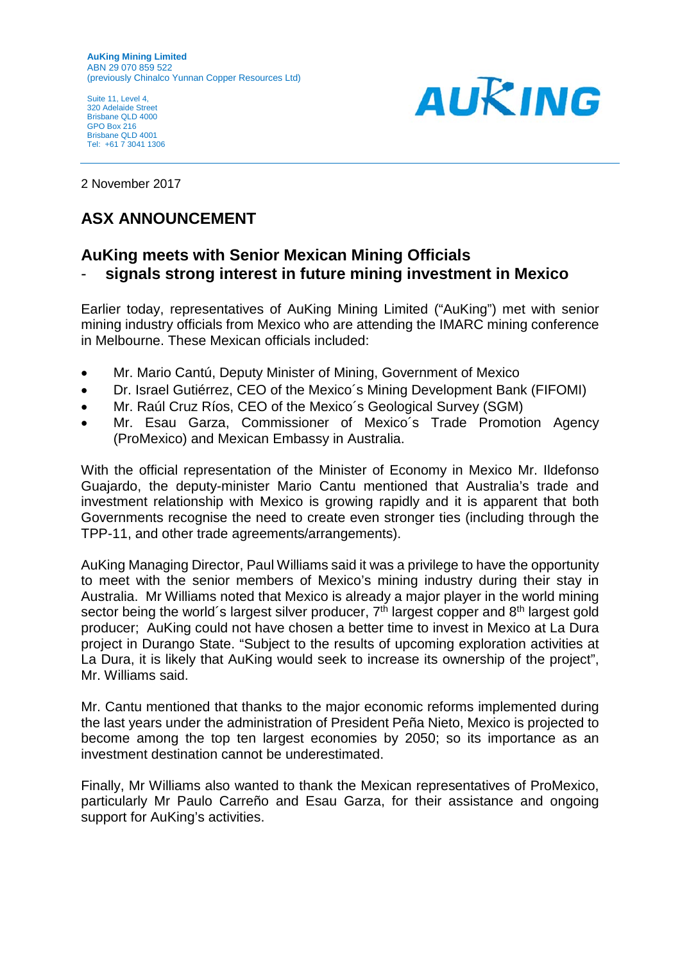Suite 11, Level 4 320 Adelaide Street Brisbane QLD 4000 GPO Box 216 Brisbane QLD 4001 Tel: +61 7 3041 1306



2 November 2017

## **ASX ANNOUNCEMENT**

## **AuKing meets with Senior Mexican Mining Officials** - **signals strong interest in future mining investment in Mexico**

Earlier today, representatives of AuKing Mining Limited ("AuKing") met with senior mining industry officials from Mexico who are attending the IMARC mining conference in Melbourne. These Mexican officials included:

- Mr. Mario Cantú, Deputy Minister of Mining, Government of Mexico
- Dr. Israel Gutiérrez, CEO of the Mexico´s Mining Development Bank (FIFOMI)
- Mr. Raúl Cruz Ríos, CEO of the Mexico's Geological Survey (SGM)
- Mr. Esau Garza, Commissioner of Mexico´s Trade Promotion Agency (ProMexico) and Mexican Embassy in Australia.

With the official representation of the Minister of Economy in Mexico Mr. Ildefonso Guajardo, the deputy-minister Mario Cantu mentioned that Australia's trade and investment relationship with Mexico is growing rapidly and it is apparent that both Governments recognise the need to create even stronger ties (including through the TPP-11, and other trade agreements/arrangements).

AuKing Managing Director, Paul Williams said it was a privilege to have the opportunity to meet with the senior members of Mexico's mining industry during their stay in Australia. Mr Williams noted that Mexico is already a major player in the world mining sector being the world's largest silver producer,  $7<sup>th</sup>$  largest copper and  $8<sup>th</sup>$  largest gold producer; AuKing could not have chosen a better time to invest in Mexico at La Dura project in Durango State. "Subject to the results of upcoming exploration activities at La Dura, it is likely that AuKing would seek to increase its ownership of the project", Mr. Williams said.

Mr. Cantu mentioned that thanks to the major economic reforms implemented during the last years under the administration of President Peña Nieto, Mexico is projected to become among the top ten largest economies by 2050; so its importance as an investment destination cannot be underestimated.

Finally, Mr Williams also wanted to thank the Mexican representatives of ProMexico, particularly Mr Paulo Carreño and Esau Garza, for their assistance and ongoing support for AuKing's activities.